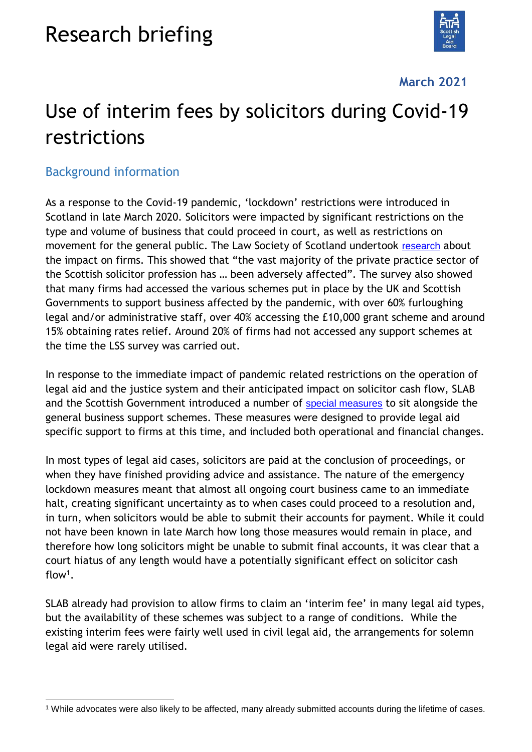# Research briefing



### **March 2021**

# Use of interim fees by solicitors during Covid-19 restrictions

### Background information

As a response to the Covid-19 pandemic, 'lockdown' restrictions were introduced in Scotland in late March 2020. Solicitors were impacted by significant restrictions on the type and volume of business that could proceed in court, as well as restrictions on movement for the general public. The Law Society of Scotland undertook [research](https://www.lawscot.org.uk/research-and-policy/research/research/) about the impact on firms. This showed that "the vast majority of the private practice sector of the Scottish solicitor profession has … been adversely affected". The survey also showed that many firms had accessed the various schemes put in place by the UK and Scottish Governments to support business affected by the pandemic, with over 60% furloughing legal and/or administrative staff, over 40% accessing the £10,000 grant scheme and around 15% obtaining rates relief. Around 20% of firms had not accessed any support schemes at the time the LSS survey was carried out.

In response to the immediate impact of pandemic related restrictions on the operation of legal aid and the justice system and their anticipated impact on solicitor cash flow, SLAB and the Scottish Government introduced a number of [special measures](https://www.slab.org.uk/guidance-categories/covid-19/) to sit alongside the general business support schemes. These measures were designed to provide legal aid specific support to firms at this time, and included both operational and financial changes.

In most types of legal aid cases, solicitors are paid at the conclusion of proceedings, or when they have finished providing advice and assistance. The nature of the emergency lockdown measures meant that almost all ongoing court business came to an immediate halt, creating significant uncertainty as to when cases could proceed to a resolution and, in turn, when solicitors would be able to submit their accounts for payment. While it could not have been known in late March how long those measures would remain in place, and therefore how long solicitors might be unable to submit final accounts, it was clear that a court hiatus of any length would have a potentially significant effect on solicitor cash flow<sup>1</sup> .

SLAB already had provision to allow firms to claim an 'interim fee' in many legal aid types, but the availability of these schemes was subject to a range of conditions. While the existing interim fees were fairly well used in civil legal aid, the arrangements for solemn legal aid were rarely utilised.

<sup>-</sup><sup>1</sup> While advocates were also likely to be affected, many already submitted accounts during the lifetime of cases.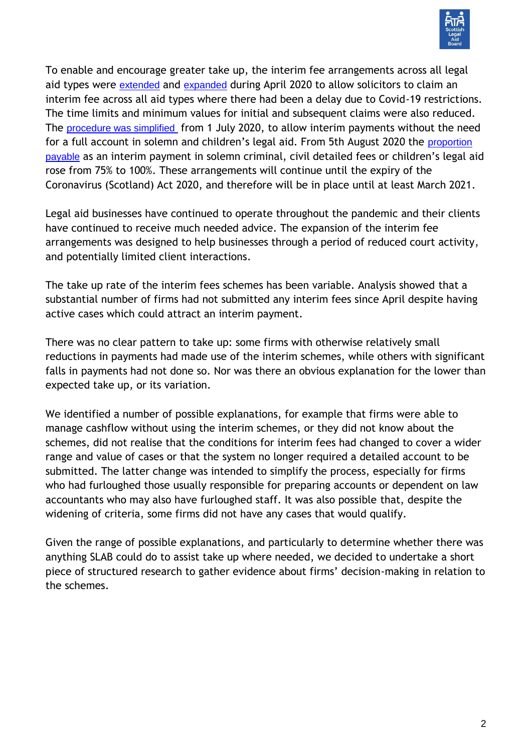

To enable and encourage greater take up, the interim fee arrangements across all legal aid types were [extended](https://www.slab.org.uk/news/covid-19-new-interim-payments-guidance-on-submitting-accounts/) and [expanded](https://www.slab.org.uk/news/covid-19-existing-interim-fee-provisions-extended-to-civil-childrens-legal-aid/) during April 2020 to allow solicitors to claim an interim fee across all aid types where there had been a delay due to Covid-19 restrictions. The time limits and minimum values for initial and subsequent claims were also reduced. The [procedure was simplified](https://www.slab.org.uk/news/covid-19-new-streamlined-procedures-for-submitting-interim-accounts-for-solemn-criminal-childrens-proceedings/) from 1 July 2020, to allow interim payments without the need for a full account in solemn and children's legal aid. From 5th August 2020 the [proportion](https://www.slab.org.uk/news/covid-19-payment-to-be-made-in-full-for-civil-schedule-5-detailed-fees-solemn-criminal-and-childrens-interim-fee-claims/)  [payable](https://www.slab.org.uk/news/covid-19-payment-to-be-made-in-full-for-civil-schedule-5-detailed-fees-solemn-criminal-and-childrens-interim-fee-claims/) as an interim payment in solemn criminal, civil detailed fees or children's legal aid rose from 75% to 100%. These arrangements will continue until the expiry of the Coronavirus (Scotland) Act 2020, and therefore will be in place until at least March 2021.

Legal aid businesses have continued to operate throughout the pandemic and their clients have continued to receive much needed advice. The expansion of the interim fee arrangements was designed to help businesses through a period of reduced court activity, and potentially limited client interactions.

The take up rate of the interim fees schemes has been variable. Analysis showed that a substantial number of firms had not submitted any interim fees since April despite having active cases which could attract an interim payment.

There was no clear pattern to take up: some firms with otherwise relatively small reductions in payments had made use of the interim schemes, while others with significant falls in payments had not done so. Nor was there an obvious explanation for the lower than expected take up, or its variation.

We identified a number of possible explanations, for example that firms were able to manage cashflow without using the interim schemes, or they did not know about the schemes, did not realise that the conditions for interim fees had changed to cover a wider range and value of cases or that the system no longer required a detailed account to be submitted. The latter change was intended to simplify the process, especially for firms who had furloughed those usually responsible for preparing accounts or dependent on law accountants who may also have furloughed staff. It was also possible that, despite the widening of criteria, some firms did not have any cases that would qualify.

Given the range of possible explanations, and particularly to determine whether there was anything SLAB could do to assist take up where needed, we decided to undertake a short piece of structured research to gather evidence about firms' decision-making in relation to the schemes.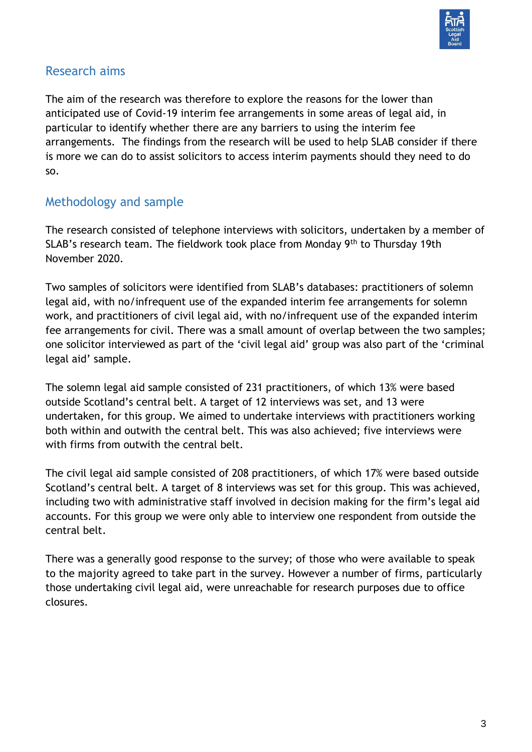

## Research aims

The aim of the research was therefore to explore the reasons for the lower than anticipated use of Covid-19 interim fee arrangements in some areas of legal aid, in particular to identify whether there are any barriers to using the interim fee arrangements. The findings from the research will be used to help SLAB consider if there is more we can do to assist solicitors to access interim payments should they need to do so.

# Methodology and sample

The research consisted of telephone interviews with solicitors, undertaken by a member of SLAB's research team. The fieldwork took place from Monday 9th to Thursday 19th November 2020.

Two samples of solicitors were identified from SLAB's databases: practitioners of solemn legal aid, with no/infrequent use of the expanded interim fee arrangements for solemn work, and practitioners of civil legal aid, with no/infrequent use of the expanded interim fee arrangements for civil. There was a small amount of overlap between the two samples; one solicitor interviewed as part of the 'civil legal aid' group was also part of the 'criminal legal aid' sample.

The solemn legal aid sample consisted of 231 practitioners, of which 13% were based outside Scotland's central belt. A target of 12 interviews was set, and 13 were undertaken, for this group. We aimed to undertake interviews with practitioners working both within and outwith the central belt. This was also achieved; five interviews were with firms from outwith the central belt.

The civil legal aid sample consisted of 208 practitioners, of which 17% were based outside Scotland's central belt. A target of 8 interviews was set for this group. This was achieved, including two with administrative staff involved in decision making for the firm's legal aid accounts. For this group we were only able to interview one respondent from outside the central belt.

There was a generally good response to the survey; of those who were available to speak to the majority agreed to take part in the survey. However a number of firms, particularly those undertaking civil legal aid, were unreachable for research purposes due to office closures.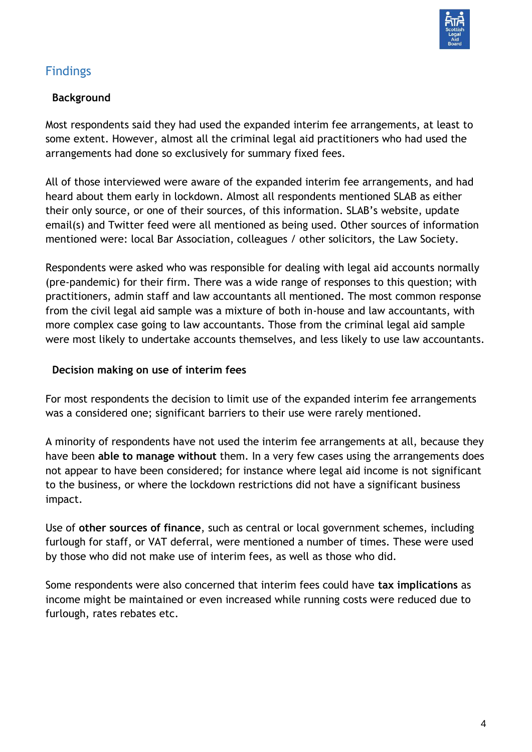

# Findings

## **Background**

Most respondents said they had used the expanded interim fee arrangements, at least to some extent. However, almost all the criminal legal aid practitioners who had used the arrangements had done so exclusively for summary fixed fees.

All of those interviewed were aware of the expanded interim fee arrangements, and had heard about them early in lockdown. Almost all respondents mentioned SLAB as either their only source, or one of their sources, of this information. SLAB's website, update email(s) and Twitter feed were all mentioned as being used. Other sources of information mentioned were: local Bar Association, colleagues / other solicitors, the Law Society.

Respondents were asked who was responsible for dealing with legal aid accounts normally (pre-pandemic) for their firm. There was a wide range of responses to this question; with practitioners, admin staff and law accountants all mentioned. The most common response from the civil legal aid sample was a mixture of both in-house and law accountants, with more complex case going to law accountants. Those from the criminal legal aid sample were most likely to undertake accounts themselves, and less likely to use law accountants.

#### **Decision making on use of interim fees**

For most respondents the decision to limit use of the expanded interim fee arrangements was a considered one; significant barriers to their use were rarely mentioned.

A minority of respondents have not used the interim fee arrangements at all, because they have been **able to manage without** them. In a very few cases using the arrangements does not appear to have been considered; for instance where legal aid income is not significant to the business, or where the lockdown restrictions did not have a significant business impact.

Use of **other sources of finance**, such as central or local government schemes, including furlough for staff, or VAT deferral, were mentioned a number of times. These were used by those who did not make use of interim fees, as well as those who did.

Some respondents were also concerned that interim fees could have **tax implications** as income might be maintained or even increased while running costs were reduced due to furlough, rates rebates etc.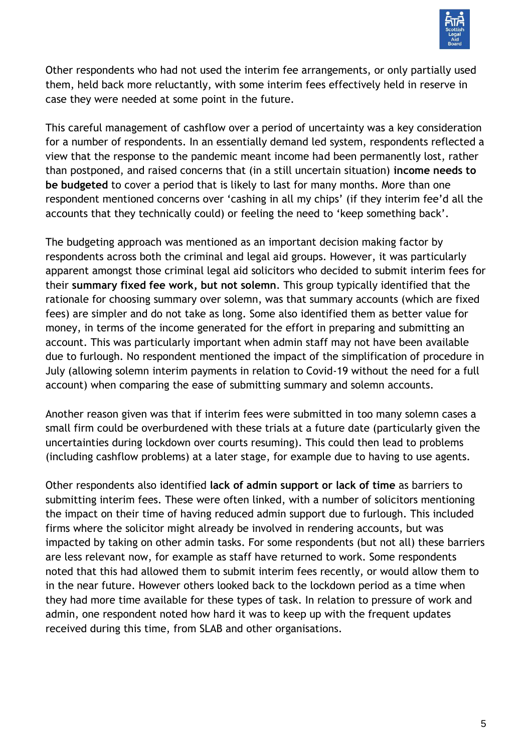

Other respondents who had not used the interim fee arrangements, or only partially used them, held back more reluctantly, with some interim fees effectively held in reserve in case they were needed at some point in the future.

This careful management of cashflow over a period of uncertainty was a key consideration for a number of respondents. In an essentially demand led system, respondents reflected a view that the response to the pandemic meant income had been permanently lost, rather than postponed, and raised concerns that (in a still uncertain situation) **income needs to be budgeted** to cover a period that is likely to last for many months. More than one respondent mentioned concerns over 'cashing in all my chips' (if they interim fee'd all the accounts that they technically could) or feeling the need to 'keep something back'.

The budgeting approach was mentioned as an important decision making factor by respondents across both the criminal and legal aid groups. However, it was particularly apparent amongst those criminal legal aid solicitors who decided to submit interim fees for their **summary fixed fee work, but not solemn**. This group typically identified that the rationale for choosing summary over solemn, was that summary accounts (which are fixed fees) are simpler and do not take as long. Some also identified them as better value for money, in terms of the income generated for the effort in preparing and submitting an account. This was particularly important when admin staff may not have been available due to furlough. No respondent mentioned the impact of the simplification of procedure in July (allowing solemn interim payments in relation to Covid-19 without the need for a full account) when comparing the ease of submitting summary and solemn accounts.

Another reason given was that if interim fees were submitted in too many solemn cases a small firm could be overburdened with these trials at a future date (particularly given the uncertainties during lockdown over courts resuming). This could then lead to problems (including cashflow problems) at a later stage, for example due to having to use agents.

Other respondents also identified **lack of admin support or lack of time** as barriers to submitting interim fees. These were often linked, with a number of solicitors mentioning the impact on their time of having reduced admin support due to furlough. This included firms where the solicitor might already be involved in rendering accounts, but was impacted by taking on other admin tasks. For some respondents (but not all) these barriers are less relevant now, for example as staff have returned to work. Some respondents noted that this had allowed them to submit interim fees recently, or would allow them to in the near future. However others looked back to the lockdown period as a time when they had more time available for these types of task. In relation to pressure of work and admin, one respondent noted how hard it was to keep up with the frequent updates received during this time, from SLAB and other organisations.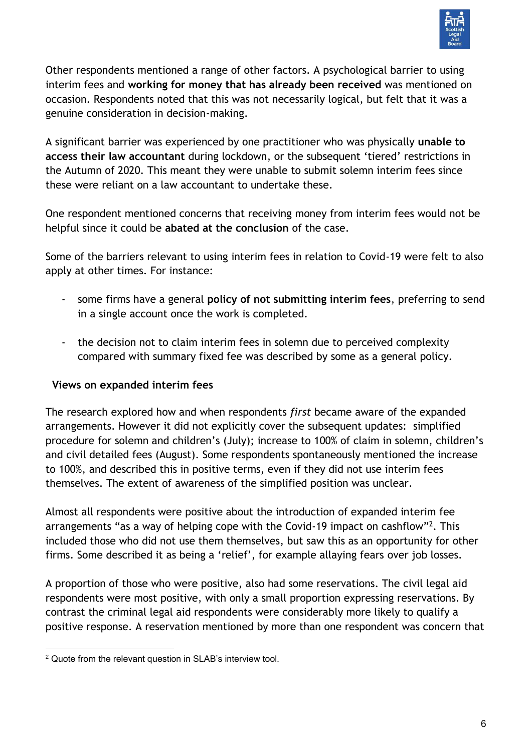

Other respondents mentioned a range of other factors. A psychological barrier to using interim fees and **working for money that has already been received** was mentioned on occasion. Respondents noted that this was not necessarily logical, but felt that it was a genuine consideration in decision-making.

A significant barrier was experienced by one practitioner who was physically **unable to access their law accountant** during lockdown, or the subsequent 'tiered' restrictions in the Autumn of 2020. This meant they were unable to submit solemn interim fees since these were reliant on a law accountant to undertake these.

One respondent mentioned concerns that receiving money from interim fees would not be helpful since it could be **abated at the conclusion** of the case.

Some of the barriers relevant to using interim fees in relation to Covid-19 were felt to also apply at other times. For instance:

- some firms have a general **policy of not submitting interim fees**, preferring to send in a single account once the work is completed.
- the decision not to claim interim fees in solemn due to perceived complexity compared with summary fixed fee was described by some as a general policy.

#### **Views on expanded interim fees**

The research explored how and when respondents *first* became aware of the expanded arrangements. However it did not explicitly cover the subsequent updates: simplified procedure for solemn and children's (July); increase to 100% of claim in solemn, children's and civil detailed fees (August). Some respondents spontaneously mentioned the increase to 100%, and described this in positive terms, even if they did not use interim fees themselves. The extent of awareness of the simplified position was unclear.

Almost all respondents were positive about the introduction of expanded interim fee arrangements "as a way of helping cope with the Covid-19 impact on cashflow"<sup>2</sup>. This included those who did not use them themselves, but saw this as an opportunity for other firms. Some described it as being a 'relief', for example allaying fears over job losses.

A proportion of those who were positive, also had some reservations. The civil legal aid respondents were most positive, with only a small proportion expressing reservations. By contrast the criminal legal aid respondents were considerably more likely to qualify a positive response. A reservation mentioned by more than one respondent was concern that

<sup>-</sup><sup>2</sup> Quote from the relevant question in SLAB's interview tool.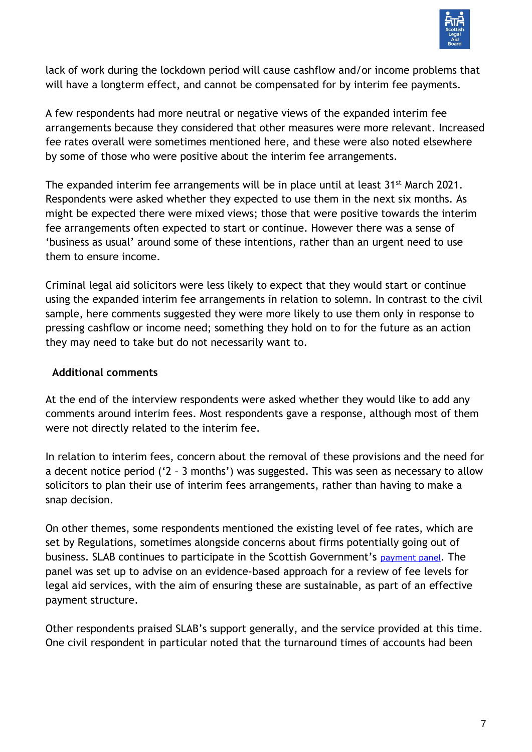

lack of work during the lockdown period will cause cashflow and/or income problems that will have a longterm effect, and cannot be compensated for by interim fee payments.

A few respondents had more neutral or negative views of the expanded interim fee arrangements because they considered that other measures were more relevant. Increased fee rates overall were sometimes mentioned here, and these were also noted elsewhere by some of those who were positive about the interim fee arrangements.

The expanded interim fee arrangements will be in place until at least 31<sup>st</sup> March 2021. Respondents were asked whether they expected to use them in the next six months. As might be expected there were mixed views; those that were positive towards the interim fee arrangements often expected to start or continue. However there was a sense of 'business as usual' around some of these intentions, rather than an urgent need to use them to ensure income.

Criminal legal aid solicitors were less likely to expect that they would start or continue using the expanded interim fee arrangements in relation to solemn. In contrast to the civil sample, here comments suggested they were more likely to use them only in response to pressing cashflow or income need; something they hold on to for the future as an action they may need to take but do not necessarily want to.

#### **Additional comments**

At the end of the interview respondents were asked whether they would like to add any comments around interim fees. Most respondents gave a response, although most of them were not directly related to the interim fee.

In relation to interim fees, concern about the removal of these provisions and the need for a decent notice period ('2 – 3 months') was suggested. This was seen as necessary to allow solicitors to plan their use of interim fees arrangements, rather than having to make a snap decision.

On other themes, some respondents mentioned the existing level of fee rates, which are set by Regulations, sometimes alongside concerns about firms potentially going out of business. SLAB continues to participate in the Scottish Government's [payment panel](https://www.gov.scot/groups/legal-aid-advisory-panel/). The panel was set up to advise on an evidence-based approach for a review of fee levels for legal aid services, with the aim of ensuring these are sustainable, as part of an effective payment structure.

Other respondents praised SLAB's support generally, and the service provided at this time. One civil respondent in particular noted that the turnaround times of accounts had been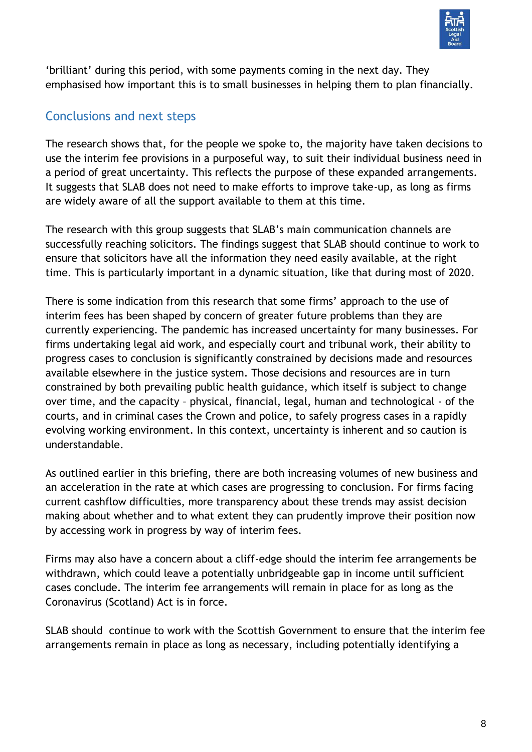

'brilliant' during this period, with some payments coming in the next day. They emphasised how important this is to small businesses in helping them to plan financially.

# Conclusions and next steps

The research shows that, for the people we spoke to, the majority have taken decisions to use the interim fee provisions in a purposeful way, to suit their individual business need in a period of great uncertainty. This reflects the purpose of these expanded arrangements. It suggests that SLAB does not need to make efforts to improve take-up, as long as firms are widely aware of all the support available to them at this time.

The research with this group suggests that SLAB's main communication channels are successfully reaching solicitors. The findings suggest that SLAB should continue to work to ensure that solicitors have all the information they need easily available, at the right time. This is particularly important in a dynamic situation, like that during most of 2020.

There is some indication from this research that some firms' approach to the use of interim fees has been shaped by concern of greater future problems than they are currently experiencing. The pandemic has increased uncertainty for many businesses. For firms undertaking legal aid work, and especially court and tribunal work, their ability to progress cases to conclusion is significantly constrained by decisions made and resources available elsewhere in the justice system. Those decisions and resources are in turn constrained by both prevailing public health guidance, which itself is subject to change over time, and the capacity – physical, financial, legal, human and technological - of the courts, and in criminal cases the Crown and police, to safely progress cases in a rapidly evolving working environment. In this context, uncertainty is inherent and so caution is understandable.

As outlined earlier in this briefing, there are both increasing volumes of new business and an acceleration in the rate at which cases are progressing to conclusion. For firms facing current cashflow difficulties, more transparency about these trends may assist decision making about whether and to what extent they can prudently improve their position now by accessing work in progress by way of interim fees.

Firms may also have a concern about a cliff-edge should the interim fee arrangements be withdrawn, which could leave a potentially unbridgeable gap in income until sufficient cases conclude. The interim fee arrangements will remain in place for as long as the Coronavirus (Scotland) Act is in force.

SLAB should continue to work with the Scottish Government to ensure that the interim fee arrangements remain in place as long as necessary, including potentially identifying a